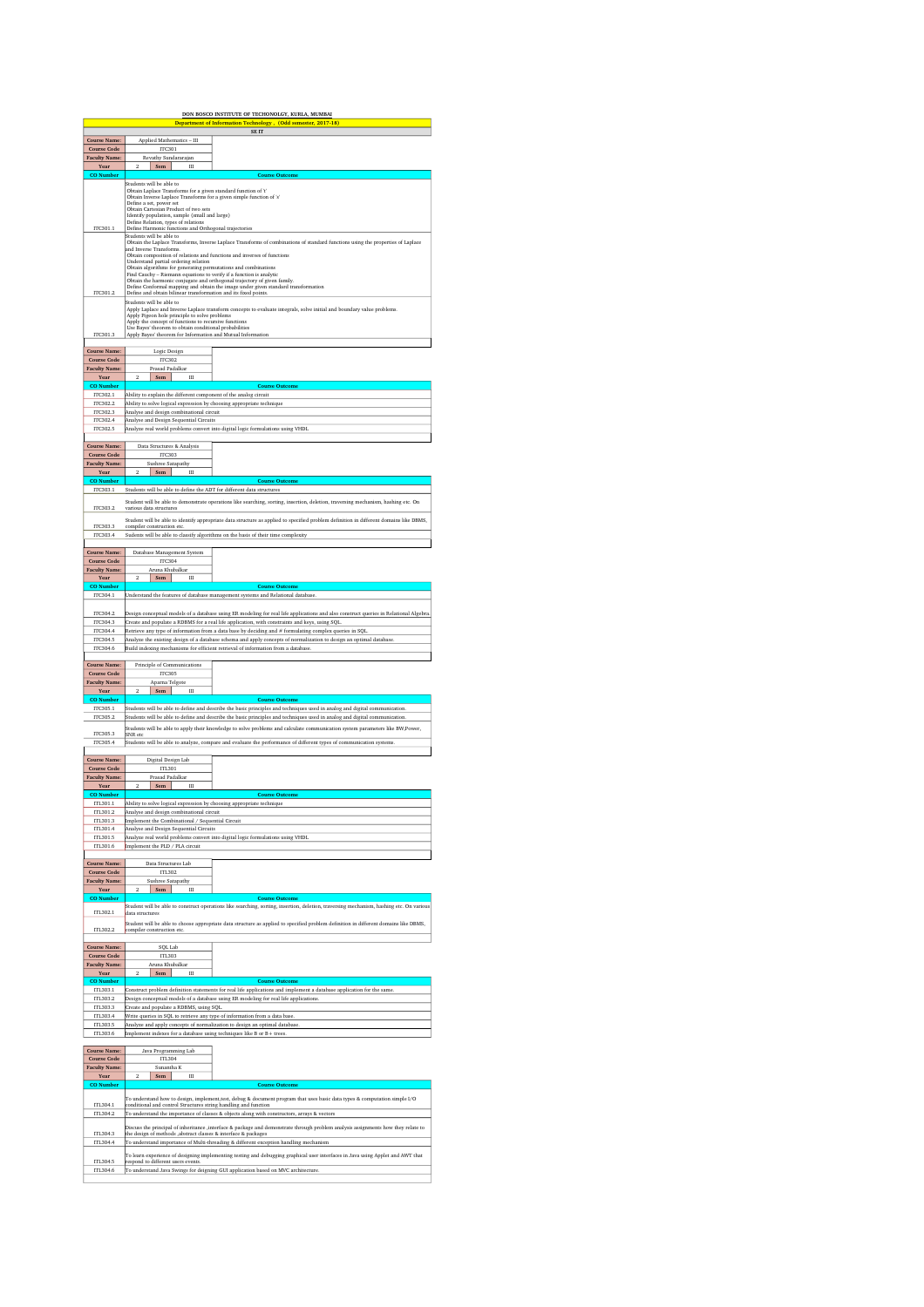|                                                                           |                                                                                                                                                                                                                                                                                                                                                                                                                                                                                                                                                 | DON BOSCO INSTITUTE OF TECHONOLGY, KURLA, MUMBAI<br>Department of Information Technology, (Odd semester, 2017-18)                                                                                                                                          |  |  |
|---------------------------------------------------------------------------|-------------------------------------------------------------------------------------------------------------------------------------------------------------------------------------------------------------------------------------------------------------------------------------------------------------------------------------------------------------------------------------------------------------------------------------------------------------------------------------------------------------------------------------------------|------------------------------------------------------------------------------------------------------------------------------------------------------------------------------------------------------------------------------------------------------------|--|--|
|                                                                           |                                                                                                                                                                                                                                                                                                                                                                                                                                                                                                                                                 | SE IT                                                                                                                                                                                                                                                      |  |  |
| <b>Course Name:</b><br><b>Course Code</b>                                 | Applied Mathematics - III<br><b>ITC301</b>                                                                                                                                                                                                                                                                                                                                                                                                                                                                                                      |                                                                                                                                                                                                                                                            |  |  |
| <b>Faculty Name:</b>                                                      | Revathy Sundararajan                                                                                                                                                                                                                                                                                                                                                                                                                                                                                                                            |                                                                                                                                                                                                                                                            |  |  |
| Year<br><b>CO</b> Number                                                  | $\overline{2}$<br>Sem  <br>Ш                                                                                                                                                                                                                                                                                                                                                                                                                                                                                                                    | <b>Course Outcome</b>                                                                                                                                                                                                                                      |  |  |
| ITC301.1                                                                  | Students will be able to<br>Obtain Laplace Transforms for a given standard function of 't'<br>Obtain Inverse Laplace Transforms for a given simple function of 's'<br>Define a set, power set<br>Obtain Cartesian Product of two sets<br>Identify population, sample (small and large)<br>Define Relation, types of relations<br>Define Harmonic functions and Orthogonal trajectories                                                                                                                                                          |                                                                                                                                                                                                                                                            |  |  |
|                                                                           | Students will be able to<br>Obtain the Laplace Transforms, Inverse Laplace Transforms of combinations of standard functions using the properties of Laplace<br>and Inverse Transforms.<br>Obtain composition of relations and functions and inverses of functions<br>Understand partial ordering relation<br>Obtain algorithms for generating permutations and combinations<br>Find Cauchy - Riemann equations to verify if a function is analytic<br>Obtain the harmonic conjugate and orthogonal trajectory of given family.                  |                                                                                                                                                                                                                                                            |  |  |
| ITC301.2<br>ITC301.3                                                      | Define Conformal mapping and obtain the image under given standard transformation Define and obtain bilinear transformation and its fixed points. $\,$<br>Students will be able to<br>Apply Laplace and Inverse Laplace transform concepts to evaluate integrals, solve initial and boundary value problems.<br>Apply Pigeon hole principle to solve problems<br>Apply the concept of functions to recursive functions<br>Use Bayes' theorem to obtain conditional probabilities<br>Apply Bayes' theorem for Information and Mutual Information |                                                                                                                                                                                                                                                            |  |  |
|                                                                           |                                                                                                                                                                                                                                                                                                                                                                                                                                                                                                                                                 |                                                                                                                                                                                                                                                            |  |  |
| <b>Course Name:</b><br><b>Course Code</b><br><b>Faculty Name:</b><br>Year | Logic Design<br><b>ITC302</b><br>Prasad Padalkar<br>$\overline{2}$<br>Ш<br>Sem                                                                                                                                                                                                                                                                                                                                                                                                                                                                  |                                                                                                                                                                                                                                                            |  |  |
| <b>CO</b> Number                                                          |                                                                                                                                                                                                                                                                                                                                                                                                                                                                                                                                                 | <b>Course Outcome</b>                                                                                                                                                                                                                                      |  |  |
| ITC302.1<br>ITC302.2                                                      | Ability to explain the different component of the analog circuit                                                                                                                                                                                                                                                                                                                                                                                                                                                                                |                                                                                                                                                                                                                                                            |  |  |
| ITC302.3                                                                  | Ability to solve logical expression by choosing appropriate technique<br>Analyse and design combinational circuit                                                                                                                                                                                                                                                                                                                                                                                                                               |                                                                                                                                                                                                                                                            |  |  |
| ITC302.4<br><b>ITC302.5</b>                                               | Analyse and Design Sequential Circuits                                                                                                                                                                                                                                                                                                                                                                                                                                                                                                          | Analyze real world problems convert into digital logic formulations using VHDL                                                                                                                                                                             |  |  |
| Course Name:                                                              | Data Structures & Analysis                                                                                                                                                                                                                                                                                                                                                                                                                                                                                                                      |                                                                                                                                                                                                                                                            |  |  |
| <b>Course Code</b><br><b>Faculty Name:</b>                                | <b>ITC303</b><br>Sushree Satapathy                                                                                                                                                                                                                                                                                                                                                                                                                                                                                                              |                                                                                                                                                                                                                                                            |  |  |
| Year                                                                      | Sem                                                                                                                                                                                                                                                                                                                                                                                                                                                                                                                                             |                                                                                                                                                                                                                                                            |  |  |
| <b>CO</b> Numbe<br>ITC303.1                                               | Students will be able to define the ADT for different data structures                                                                                                                                                                                                                                                                                                                                                                                                                                                                           | <b>Course Outcome</b>                                                                                                                                                                                                                                      |  |  |
|                                                                           |                                                                                                                                                                                                                                                                                                                                                                                                                                                                                                                                                 | Student will be able to demonstrate operations like searching, sorting, insertion, deletion, traversing mechanism, hashing etc. On                                                                                                                         |  |  |
| ITC303.2                                                                  | various data structure:                                                                                                                                                                                                                                                                                                                                                                                                                                                                                                                         |                                                                                                                                                                                                                                                            |  |  |
| ITC303.3                                                                  | compiler construction et-                                                                                                                                                                                                                                                                                                                                                                                                                                                                                                                       | Student will be able to identify appropriate data structure as applied to specified problem definition in different domains like DBMS,                                                                                                                     |  |  |
| ITC303.4                                                                  |                                                                                                                                                                                                                                                                                                                                                                                                                                                                                                                                                 | Sudents will be able to classify algorithms on the basis of their time complexity                                                                                                                                                                          |  |  |
| <b>Course Name:</b><br><b>Course Code</b>                                 | Database Management System<br><b>ITC304</b>                                                                                                                                                                                                                                                                                                                                                                                                                                                                                                     |                                                                                                                                                                                                                                                            |  |  |
| <b>Faculty Name:</b><br>Year                                              | Aruna Khubalkar<br>$\overline{2}$<br>Sem<br>Ш                                                                                                                                                                                                                                                                                                                                                                                                                                                                                                   |                                                                                                                                                                                                                                                            |  |  |
| <b>CO</b> Number<br>ITC304.1                                              |                                                                                                                                                                                                                                                                                                                                                                                                                                                                                                                                                 | <b>Course Outcome</b><br>Understand the features of database management systems and Relational database.                                                                                                                                                   |  |  |
| ITC304.2                                                                  |                                                                                                                                                                                                                                                                                                                                                                                                                                                                                                                                                 | Design conceptual models of a database using ER modeling for real life applications and also construct queries in Relational Algebra.                                                                                                                      |  |  |
| ITC304.3                                                                  |                                                                                                                                                                                                                                                                                                                                                                                                                                                                                                                                                 | Create and populate a RDBMS for a real life application, with constraints and keys, using SQL                                                                                                                                                              |  |  |
| ITC304.4<br>ITC304.5                                                      |                                                                                                                                                                                                                                                                                                                                                                                                                                                                                                                                                 | Retrieve any type of information from a data base by deciding and # formulating complex queries in SQL<br>Analyze the existing design of a database schema and apply concepts of normalization to design an optimal database.                              |  |  |
| ITC304.6                                                                  |                                                                                                                                                                                                                                                                                                                                                                                                                                                                                                                                                 | Build indexing mechanisms for efficient retrieval of information from a database                                                                                                                                                                           |  |  |
|                                                                           |                                                                                                                                                                                                                                                                                                                                                                                                                                                                                                                                                 |                                                                                                                                                                                                                                                            |  |  |
| <b>Course Name:</b><br><b>Course Code</b>                                 | Principle of Communications<br><b>ITC305</b>                                                                                                                                                                                                                                                                                                                                                                                                                                                                                                    |                                                                                                                                                                                                                                                            |  |  |
| <b>Faculty Name:</b>                                                      | Aparna Telgote<br>Ш                                                                                                                                                                                                                                                                                                                                                                                                                                                                                                                             |                                                                                                                                                                                                                                                            |  |  |
| Year<br><b>CO</b> Numbe                                                   | Sem                                                                                                                                                                                                                                                                                                                                                                                                                                                                                                                                             | <b>Course Outcome</b>                                                                                                                                                                                                                                      |  |  |
| ITC305.1                                                                  |                                                                                                                                                                                                                                                                                                                                                                                                                                                                                                                                                 | Students will be able to define and describe the basic principles and techniques used in analog and digital communication.                                                                                                                                 |  |  |
| ITC305.2                                                                  |                                                                                                                                                                                                                                                                                                                                                                                                                                                                                                                                                 | Students will be able to define and describe the basic principles and techniques used in analog and digital communication<br>Students will be able to apply their knowledge to solve problems and calculate communication system parameters like BW,Power, |  |  |
| ITC305.3<br>ITC305.4                                                      | SNR etc                                                                                                                                                                                                                                                                                                                                                                                                                                                                                                                                         |                                                                                                                                                                                                                                                            |  |  |
|                                                                           |                                                                                                                                                                                                                                                                                                                                                                                                                                                                                                                                                 | Students will be able to analyze, compare and evaluate the performance of different types of communication systems.                                                                                                                                        |  |  |
| <b>Course Name:</b>                                                       | Digital Design Lab                                                                                                                                                                                                                                                                                                                                                                                                                                                                                                                              |                                                                                                                                                                                                                                                            |  |  |
| <b>Course Code</b><br><b>Faculty Name:</b>                                | ITL301<br>Prasad Padalkar                                                                                                                                                                                                                                                                                                                                                                                                                                                                                                                       |                                                                                                                                                                                                                                                            |  |  |
| Year                                                                      | Sem<br>$\overline{2}$<br>Ш                                                                                                                                                                                                                                                                                                                                                                                                                                                                                                                      |                                                                                                                                                                                                                                                            |  |  |
| <b>CO</b> Number<br>ITL301.1                                              | Ability to solve logical expression by choosing appropriate technique                                                                                                                                                                                                                                                                                                                                                                                                                                                                           | <b>Course Outcome</b>                                                                                                                                                                                                                                      |  |  |
| ITL301.2                                                                  | Analyse and design combinational circuit                                                                                                                                                                                                                                                                                                                                                                                                                                                                                                        |                                                                                                                                                                                                                                                            |  |  |
| ITL301.3<br>ITL301.4                                                      | Implement the Combinational / Sequential Circuit<br>Analyse and Design Sequential Circuits                                                                                                                                                                                                                                                                                                                                                                                                                                                      |                                                                                                                                                                                                                                                            |  |  |
| ITL301.5                                                                  |                                                                                                                                                                                                                                                                                                                                                                                                                                                                                                                                                 | Analyze real world problems convert into digital logic formulations using VHDL                                                                                                                                                                             |  |  |
| ITL301.6                                                                  | Implement the PLD / PLA circuit                                                                                                                                                                                                                                                                                                                                                                                                                                                                                                                 |                                                                                                                                                                                                                                                            |  |  |
| <b>Course Name:</b>                                                       | Data Structures Lab                                                                                                                                                                                                                                                                                                                                                                                                                                                                                                                             |                                                                                                                                                                                                                                                            |  |  |
| <b>Course Code</b><br><b>Faculty Name:</b>                                | ITL302<br>Sushree Satapathy                                                                                                                                                                                                                                                                                                                                                                                                                                                                                                                     |                                                                                                                                                                                                                                                            |  |  |
| Year                                                                      | $\overline{2}$<br>Sem<br>Ш                                                                                                                                                                                                                                                                                                                                                                                                                                                                                                                      |                                                                                                                                                                                                                                                            |  |  |
| <b>CO</b> Number                                                          |                                                                                                                                                                                                                                                                                                                                                                                                                                                                                                                                                 | <b>Course Outcome</b><br>Student will be able to construct operations like searching, sorting, insertion, deletion, traversing mechanism, hashing etc. On various                                                                                          |  |  |
| ITL302.1                                                                  | data structures                                                                                                                                                                                                                                                                                                                                                                                                                                                                                                                                 |                                                                                                                                                                                                                                                            |  |  |
| ITL302.2                                                                  | compiler construction etc.                                                                                                                                                                                                                                                                                                                                                                                                                                                                                                                      | Student will be able to choose appropriate data structure as applied to specified problem definition in different domains like DBMS,                                                                                                                       |  |  |
| Course Name:                                                              | SQL Lab                                                                                                                                                                                                                                                                                                                                                                                                                                                                                                                                         |                                                                                                                                                                                                                                                            |  |  |
| <b>Course Code</b>                                                        | ITL303                                                                                                                                                                                                                                                                                                                                                                                                                                                                                                                                          |                                                                                                                                                                                                                                                            |  |  |
| <b>Faculty Name:</b><br>Year                                              | Aruna Khubalkar<br>$\overline{2}$<br>Ш<br>Sem                                                                                                                                                                                                                                                                                                                                                                                                                                                                                                   |                                                                                                                                                                                                                                                            |  |  |
| <b>CO</b> Number                                                          |                                                                                                                                                                                                                                                                                                                                                                                                                                                                                                                                                 | <b>Course Outcome</b>                                                                                                                                                                                                                                      |  |  |
| ITL303.1<br>ITL303.2                                                      |                                                                                                                                                                                                                                                                                                                                                                                                                                                                                                                                                 | Construct problem definition statements for real life applications and implement a database application for the same.<br>Design conceptual models of a database using ER modeling for real life applications.                                              |  |  |
| ITL303.3                                                                  | Create and populate a RDBMS, using SQL.                                                                                                                                                                                                                                                                                                                                                                                                                                                                                                         |                                                                                                                                                                                                                                                            |  |  |
| ITL303.4                                                                  | Write queries in SQL to retrieve any type of information from a data base.                                                                                                                                                                                                                                                                                                                                                                                                                                                                      |                                                                                                                                                                                                                                                            |  |  |
| ITL303.5<br>ITL303.6                                                      | Analyze and apply concepts of normalization to design an optimal database<br>Implement indexes for a database using techniques like B or B+ trees.                                                                                                                                                                                                                                                                                                                                                                                              |                                                                                                                                                                                                                                                            |  |  |
| Course Name:<br><b>Course Code</b>                                        | Java Programming Lab<br><b>ITL304</b>                                                                                                                                                                                                                                                                                                                                                                                                                                                                                                           |                                                                                                                                                                                                                                                            |  |  |
| <b>Faculty Name:</b><br>Year                                              | Sunantha K<br>$\overline{2}$<br>Sem<br>Ш                                                                                                                                                                                                                                                                                                                                                                                                                                                                                                        |                                                                                                                                                                                                                                                            |  |  |
| <b>CO</b> Number                                                          |                                                                                                                                                                                                                                                                                                                                                                                                                                                                                                                                                 | <b>Course Outcome</b>                                                                                                                                                                                                                                      |  |  |
|                                                                           |                                                                                                                                                                                                                                                                                                                                                                                                                                                                                                                                                 | To understand how to design, implement,test, debug & document program that uses basic data types & computation simple I/O                                                                                                                                  |  |  |
| ITL304.1<br>ITL304.2                                                      | conditional and control Structures string handling and function                                                                                                                                                                                                                                                                                                                                                                                                                                                                                 | To understand the importance of classes & objects along with constructors, arrays & vectors                                                                                                                                                                |  |  |
|                                                                           |                                                                                                                                                                                                                                                                                                                                                                                                                                                                                                                                                 | Discuss the principal of inheritance ,interface & package and demonstrate through problem analysis assignments how they relate to                                                                                                                          |  |  |
| ITL304.3                                                                  | the design of methods , abstract classes & interface & packages                                                                                                                                                                                                                                                                                                                                                                                                                                                                                 |                                                                                                                                                                                                                                                            |  |  |
| ITL304.4                                                                  |                                                                                                                                                                                                                                                                                                                                                                                                                                                                                                                                                 | To understand importance of Multi-threading & different exception handling mechanism                                                                                                                                                                       |  |  |
| ITL304.5                                                                  | respond to different users events.                                                                                                                                                                                                                                                                                                                                                                                                                                                                                                              | To learn experience of designing implementing testing and debugging graphical user interfaces in Java using Applet and AWT that                                                                                                                            |  |  |
| ITL304.6                                                                  |                                                                                                                                                                                                                                                                                                                                                                                                                                                                                                                                                 | To understand Java Swings for deigning GUI application based on MVC architecture.                                                                                                                                                                          |  |  |
|                                                                           |                                                                                                                                                                                                                                                                                                                                                                                                                                                                                                                                                 |                                                                                                                                                                                                                                                            |  |  |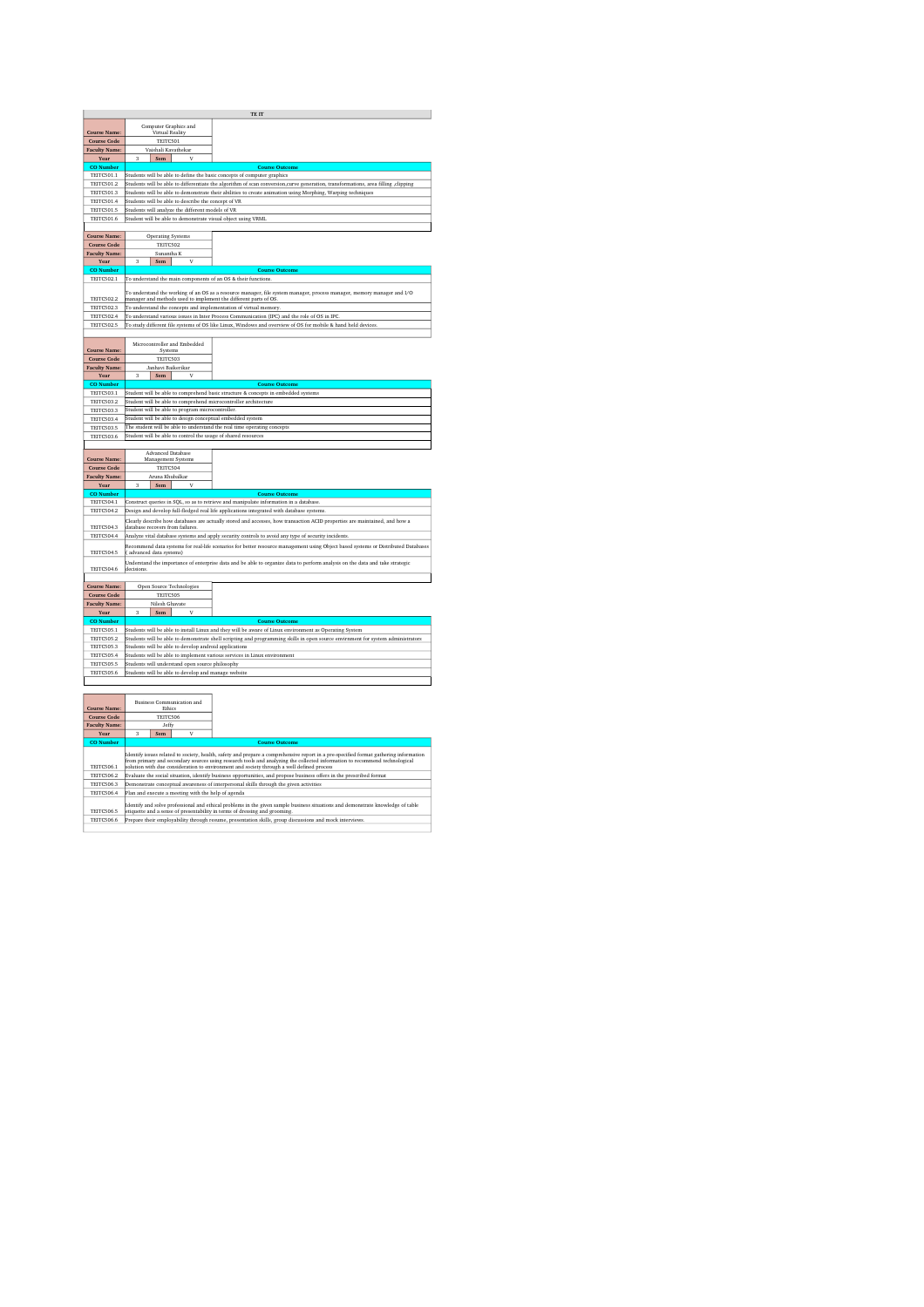| TE II                                  |                                                                                                                                          |                                                                                                                                                                                                                                                                     |  |  |
|----------------------------------------|------------------------------------------------------------------------------------------------------------------------------------------|---------------------------------------------------------------------------------------------------------------------------------------------------------------------------------------------------------------------------------------------------------------------|--|--|
|                                        | Computer Graphics and                                                                                                                    |                                                                                                                                                                                                                                                                     |  |  |
| <b>Course Name:</b>                    | Virtual Reality                                                                                                                          |                                                                                                                                                                                                                                                                     |  |  |
| <b>Course Code</b>                     | TEITC501                                                                                                                                 |                                                                                                                                                                                                                                                                     |  |  |
| <b>Faculty Name:</b>                   | Vaishali Kavathekar                                                                                                                      |                                                                                                                                                                                                                                                                     |  |  |
| Year                                   | 3<br>Sem<br>ν                                                                                                                            |                                                                                                                                                                                                                                                                     |  |  |
| <b>CO</b> Numbe                        |                                                                                                                                          | <b>Course Outcome</b>                                                                                                                                                                                                                                               |  |  |
| <b>TEITC501.1</b>                      | Students will be able to define the basic concepts of computer graphics                                                                  |                                                                                                                                                                                                                                                                     |  |  |
| <b>TEITC501.2</b>                      |                                                                                                                                          | Students will be able to differentiate the algorithm of scan conversion, curve generation, transformations, area filling , clipping                                                                                                                                 |  |  |
| <b>TEITC501.3</b>                      |                                                                                                                                          | Students will be able to demonstrate their abilities to create animation using Morphing, Warping techniques                                                                                                                                                         |  |  |
| <b>TEITC501.4</b>                      | Students will be able to describe the concept of VR                                                                                      |                                                                                                                                                                                                                                                                     |  |  |
| <b>TEITC501.5</b>                      | Students will analyze the different models of VR                                                                                         |                                                                                                                                                                                                                                                                     |  |  |
| <b>TEITC501.6</b>                      | Student will be able to demonstrate visual object using VRML                                                                             |                                                                                                                                                                                                                                                                     |  |  |
|                                        |                                                                                                                                          |                                                                                                                                                                                                                                                                     |  |  |
| <b>Course Name:</b>                    | <b>Operating Systems</b>                                                                                                                 |                                                                                                                                                                                                                                                                     |  |  |
| <b>Course Code</b>                     | TEITC502                                                                                                                                 |                                                                                                                                                                                                                                                                     |  |  |
| <b>Faculty Name:</b>                   | Sunantha K                                                                                                                               |                                                                                                                                                                                                                                                                     |  |  |
| Year                                   | v<br>3<br>Sem                                                                                                                            |                                                                                                                                                                                                                                                                     |  |  |
| <b>CO</b> Number                       |                                                                                                                                          | <b>Course Outcome</b>                                                                                                                                                                                                                                               |  |  |
| <b>TEITC502.1</b>                      | To understand the main components of an OS & their functions.                                                                            |                                                                                                                                                                                                                                                                     |  |  |
|                                        |                                                                                                                                          |                                                                                                                                                                                                                                                                     |  |  |
| <b>TEITC502.2</b>                      |                                                                                                                                          | To understand the working of an OS as a resource manager, file system manager, process manager, memory manager and I/O                                                                                                                                              |  |  |
| <b>TEITC502.3</b>                      | manager and methods used to implement the different parts of OS<br>To understand the concepts and implementation of virtual memory.      |                                                                                                                                                                                                                                                                     |  |  |
| <b>TEITC502.4</b>                      |                                                                                                                                          |                                                                                                                                                                                                                                                                     |  |  |
|                                        |                                                                                                                                          | To understand various issues in Inter Process Communication (IPC) and the role of OS in IPC.                                                                                                                                                                        |  |  |
| <b>TEITC502.5</b>                      |                                                                                                                                          | To study different file systems of OS like Linux, Windows and overview of OS for mobile & hand held devices.                                                                                                                                                        |  |  |
|                                        |                                                                                                                                          |                                                                                                                                                                                                                                                                     |  |  |
|                                        | Microcontroller and Embedded                                                                                                             |                                                                                                                                                                                                                                                                     |  |  |
| <b>Course Name:</b>                    | Systems<br>TEITC503                                                                                                                      |                                                                                                                                                                                                                                                                     |  |  |
| <b>Course Code</b>                     | Janhavi Baikerikar                                                                                                                       |                                                                                                                                                                                                                                                                     |  |  |
| <b>Faculty Name:</b>                   | v                                                                                                                                        |                                                                                                                                                                                                                                                                     |  |  |
| Year                                   | 3<br>Sem                                                                                                                                 |                                                                                                                                                                                                                                                                     |  |  |
| <b>CO</b> Number<br><b>TEITC5031</b>   |                                                                                                                                          | <b>Course Outcome</b><br>Student will be able to comprehend basic structure & concepts in embedded systems                                                                                                                                                          |  |  |
| <b>TEITC503.2</b>                      |                                                                                                                                          |                                                                                                                                                                                                                                                                     |  |  |
| <b>TEITC503.3</b>                      | Student will be able to comprehend microcontroller architecture<br>Student will be able to program microcontroller.                      |                                                                                                                                                                                                                                                                     |  |  |
| <b>TEITC503.4</b>                      | Student will be able to design conceptual embedded system                                                                                |                                                                                                                                                                                                                                                                     |  |  |
|                                        |                                                                                                                                          |                                                                                                                                                                                                                                                                     |  |  |
| TEITC503.5<br><b>TEITC503.6</b>        | The student will be able to understand the real time operating concepts<br>Student will be able to control the usage of shared resources |                                                                                                                                                                                                                                                                     |  |  |
|                                        |                                                                                                                                          |                                                                                                                                                                                                                                                                     |  |  |
|                                        |                                                                                                                                          |                                                                                                                                                                                                                                                                     |  |  |
|                                        |                                                                                                                                          |                                                                                                                                                                                                                                                                     |  |  |
| <b>Course Name:</b>                    | Advanced Database                                                                                                                        |                                                                                                                                                                                                                                                                     |  |  |
| <b>Course Code</b>                     | Management Systems                                                                                                                       |                                                                                                                                                                                                                                                                     |  |  |
| <b>Faculty Name:</b>                   | TEITC504<br>Aruna Khubalkar                                                                                                              |                                                                                                                                                                                                                                                                     |  |  |
| Year                                   | $\overline{\overline{\overline{3}}}$<br>v<br>Sem                                                                                         |                                                                                                                                                                                                                                                                     |  |  |
| <b>CO</b> Number                       |                                                                                                                                          | <b>Course Outcome</b>                                                                                                                                                                                                                                               |  |  |
| <b>TEITC504.1</b>                      |                                                                                                                                          | Construct queries in SQL, so as to retrieve and manipulate information in a database.                                                                                                                                                                               |  |  |
| TEITC504.2                             |                                                                                                                                          | Design and develop full-fledged real life applications integrated with database systems.                                                                                                                                                                            |  |  |
|                                        |                                                                                                                                          |                                                                                                                                                                                                                                                                     |  |  |
| <b>TEITC504.3</b>                      | database recovers from failures.                                                                                                         | Clearly describe how databases are actually stored and accesses, how transaction ACID properties are maintained, and how a                                                                                                                                          |  |  |
| <b>TEITC504.4</b>                      |                                                                                                                                          | Analyze vital database systems and apply security controls to avoid any type of security incidents.                                                                                                                                                                 |  |  |
|                                        |                                                                                                                                          |                                                                                                                                                                                                                                                                     |  |  |
| TEITC504.5                             | (advanced data systems)                                                                                                                  | Recommend data systems for real-life scenarios for better resource management using Object based systems or Distributed Databases                                                                                                                                   |  |  |
|                                        |                                                                                                                                          | Understand the importance of enterprise data and be able to organize data to perform analysis on the data and take strategic                                                                                                                                        |  |  |
| TEITC504.6                             | decisions.                                                                                                                               |                                                                                                                                                                                                                                                                     |  |  |
|                                        |                                                                                                                                          |                                                                                                                                                                                                                                                                     |  |  |
| <b>Course Name:</b>                    | Open Source Technologies                                                                                                                 |                                                                                                                                                                                                                                                                     |  |  |
| <b>Course Code</b>                     | TEITC505                                                                                                                                 |                                                                                                                                                                                                                                                                     |  |  |
| <b>Faculty Name:</b>                   | Nilesh Ghavate                                                                                                                           |                                                                                                                                                                                                                                                                     |  |  |
| Year                                   | Sem<br>3                                                                                                                                 |                                                                                                                                                                                                                                                                     |  |  |
| CO Numb                                |                                                                                                                                          | <b>Course Outcome</b>                                                                                                                                                                                                                                               |  |  |
| <b>TEITC505.1</b>                      |                                                                                                                                          | Students will be able to install Linux and they will be aware of Linux environment as Operating System                                                                                                                                                              |  |  |
| TEITC5052                              |                                                                                                                                          | Students will be able to demonstrate shell scripting and programming skills in open source envirnment for system administrators                                                                                                                                     |  |  |
| <b>TEITC505.3</b>                      | Students will be able to develop android applications                                                                                    |                                                                                                                                                                                                                                                                     |  |  |
| <b>TEITC505.4</b>                      | Students will be able to implement various services in Linux environment                                                                 |                                                                                                                                                                                                                                                                     |  |  |
| TEITC505.5                             | Students will understand open source philosophy                                                                                          |                                                                                                                                                                                                                                                                     |  |  |
| TEITC5056                              | Students will be able to develop and manage website                                                                                      |                                                                                                                                                                                                                                                                     |  |  |
|                                        |                                                                                                                                          |                                                                                                                                                                                                                                                                     |  |  |
|                                        |                                                                                                                                          |                                                                                                                                                                                                                                                                     |  |  |
|                                        | <b>Business Communication and</b>                                                                                                        |                                                                                                                                                                                                                                                                     |  |  |
| Course Name:                           | Ethics                                                                                                                                   |                                                                                                                                                                                                                                                                     |  |  |
| <b>Course Code</b>                     | TEITC506                                                                                                                                 |                                                                                                                                                                                                                                                                     |  |  |
| <b>Faculty Name:</b>                   | Jeffy                                                                                                                                    |                                                                                                                                                                                                                                                                     |  |  |
| Year                                   | $\overline{3}$<br>v<br>Sem                                                                                                               |                                                                                                                                                                                                                                                                     |  |  |
| <b>CO</b> Number                       |                                                                                                                                          | <b>Course Outcome</b>                                                                                                                                                                                                                                               |  |  |
|                                        |                                                                                                                                          |                                                                                                                                                                                                                                                                     |  |  |
|                                        |                                                                                                                                          | Identify issues related to society, health, safety and prepare a comprehensive report in a pre-specified format gathering information<br>from primary and secondary sources using research tools and analyzing the collected information to recommend technological |  |  |
| TEITC506.1                             |                                                                                                                                          | olution with due consideration to environment and society through a well defined process                                                                                                                                                                            |  |  |
| <b>TEITC506.2</b>                      |                                                                                                                                          | Evaluate the social situation, identify business opportunities, and propose business offers in the prescribed format                                                                                                                                                |  |  |
| <b>TEITC506.3</b><br><b>TEITC506.4</b> | Plan and execute a meeting with the help of agenda                                                                                       | Demonstrate conceptual awareness of interpersonal skills through the given activities                                                                                                                                                                               |  |  |

TEITC506.5 TEITC506.6 Prepare their employability through resume, presentation skills, group discussions and mock interviews.

Identify and solve professional and ethical problems in the given sample business situations and demonstrate knowledge of table etiquette and a sense of presentability in terms of dressing and grooming.